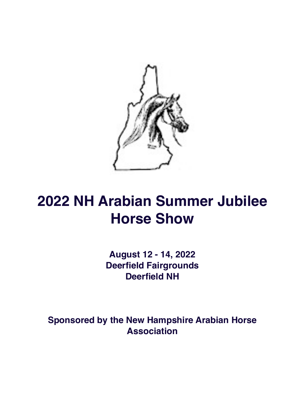

# **2022 NH Arabian Summer Jubilee Horse Show**

**August 12 - 14, 2022 Deerfield Fairgrounds Deerfield NH**

**Sponsored by the New Hampshire Arabian Horse Association**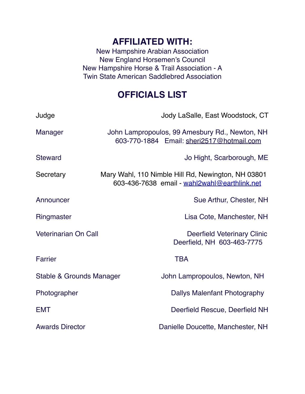## **AFFILIATED WITH:**

New Hampshire Arabian Association New England Horsemen's Council New Hampshire Horse & Trail Association - A Twin State American Saddlebred Association

# **OFFICIALS LIST**

| Judge                       | Jody LaSalle, East Woodstock, CT                                                                   |                                                                  |
|-----------------------------|----------------------------------------------------------------------------------------------------|------------------------------------------------------------------|
| Manager                     | John Lampropoulos, 99 Amesbury Rd., Newton, NH<br>603-770-1884 Email: sheri2517@hotmail.com        |                                                                  |
| <b>Steward</b>              |                                                                                                    | Jo Hight, Scarborough, ME                                        |
| Secretary                   | Mary Wahl, 110 Nimble Hill Rd, Newington, NH 03801<br>603-436-7638 email - wahl2wahl@earthlink.net |                                                                  |
| Announcer                   |                                                                                                    | Sue Arthur, Chester, NH                                          |
| Ringmaster                  |                                                                                                    | Lisa Cote, Manchester, NH                                        |
| <b>Veterinarian On Call</b> |                                                                                                    | <b>Deerfield Veterinary Clinic</b><br>Deerfield, NH 603-463-7775 |
| Farrier                     |                                                                                                    | <b>TBA</b>                                                       |
| Stable & Grounds Manager    |                                                                                                    | John Lampropoulos, Newton, NH                                    |
| Photographer                |                                                                                                    | Dallys Malenfant Photography                                     |
| <b>EMT</b>                  |                                                                                                    | Deerfield Rescue, Deerfield NH                                   |
| <b>Awards Director</b>      |                                                                                                    | Danielle Doucette, Manchester, NH                                |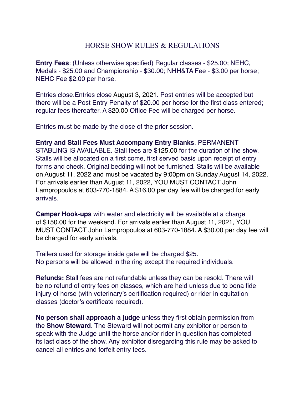## HORSE SHOW RULES & REGULATIONS

**Entry Fees**: (Unless otherwise specified) Regular classes - \$25.00; NEHC, Medals - \$25.00 and Championship - \$30.00; NHH&TA Fee - \$3.00 per horse; NEHC Fee \$2.00 per horse.

Entries close.Entries close August 3, 2021. Post entries will be accepted but there will be a Post Entry Penalty of \$20.00 per horse for the first class entered; regular fees thereafter. A \$20.00 Office Fee will be charged per horse.

Entries must be made by the close of the prior session.

#### **Entry and Stall Fees Must Accompany Entry Blanks**. PERMANENT

STABLING IS AVAILABLE. Stall fees are \$125.00 for the duration of the show. Stalls will be allocated on a first come, first served basis upon receipt of entry forms and check. Original bedding will not be furnished. Stalls will be available on August 11, 2022 and must be vacated by 9:00pm on Sunday August 14, 2022. For arrivals earlier than August 11, 2022, YOU MUST CONTACT John Lampropoulos at 603-770-1884. A \$16.00 per day fee will be charged for early arrivals.

**Camper Hook-ups** with water and electricity will be available at a charge of \$150.00 for the weekend. For arrivals earlier than August 11, 2021, YOU MUST CONTACT John Lampropoulos at 603-770-1884. A \$30.00 per day fee will be charged for early arrivals.

Trailers used for storage inside gate will be charged \$25. No persons will be allowed in the ring except the required individuals.

**Refunds:** Stall fees are not refundable unless they can be resold. There will be no refund of entry fees on classes, which are held unless due to bona fide injury of horse (with veterinary's certification required) or rider in equitation classes (doctor's certificate required).

**No person shall approach a judge** unless they first obtain permission from the **Show Steward**. The Steward will not permit any exhibitor or person to speak with the Judge until the horse and/or rider in question has completed its last class of the show. Any exhibitor disregarding this rule may be asked to cancel all entries and forfeit entry fees.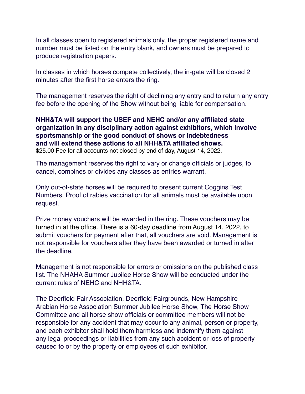In all classes open to registered animals only, the proper registered name and number must be listed on the entry blank, and owners must be prepared to produce registration papers.

In classes in which horses compete collectively, the in-gate will be closed 2 minutes after the first horse enters the ring.

The management reserves the right of declining any entry and to return any entry fee before the opening of the Show without being liable for compensation.

#### **NHH&TA will support the USEF and NEHC and/or any affiliated state organization in any disciplinary action against exhibitors, which involve sportsmanship or the good conduct of shows or indebtedness and will extend these actions to all NHH&TA affiliated shows.** \$25.00 Fee for all accounts not closed by end of day, August 14, 2022.

The management reserves the right to vary or change officials or judges, to cancel, combines or divides any classes as entries warrant.

Only out-of-state horses will be required to present current Coggins Test Numbers. Proof of rabies vaccination for all animals must be available upon request.

Prize money vouchers will be awarded in the ring. These vouchers may be turned in at the office. There is a 60-day deadline from August 14, 2022, to submit vouchers for payment after that, all vouchers are void. Management is not responsible for vouchers after they have been awarded or turned in after the deadline.

Management is not responsible for errors or omissions on the published class list. The NHAHA Summer Jubilee Horse Show will be conducted under the current rules of NEHC and NHH&TA.

The Deerfield Fair Association, Deerfield Fairgrounds, New Hampshire Arabian Horse Association Summer Jubilee Horse Show, The Horse Show Committee and all horse show officials or committee members will not be responsible for any accident that may occur to any animal, person or property, and each exhibitor shall hold them harmless and indemnify them against any legal proceedings or liabilities from any such accident or loss of property caused to or by the property or employees of such exhibitor.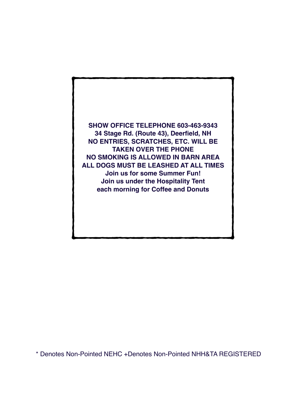**SHOW OFFICE TELEPHONE 603-463-9343 34 Stage Rd. (Route 43), Deerfield, NH NO ENTRIES, SCRATCHES, ETC. WILL BE TAKEN OVER THE PHONE NO SMOKING IS ALLOWED IN BARN AREA ALL DOGS MUST BE LEASHED AT ALL TIMES Join us for some Summer Fun! Join us under the Hospitality Tent each morning for Coffee and Donuts**

\* Denotes Non-Pointed NEHC +Denotes Non-Pointed NHH&TA REGISTERED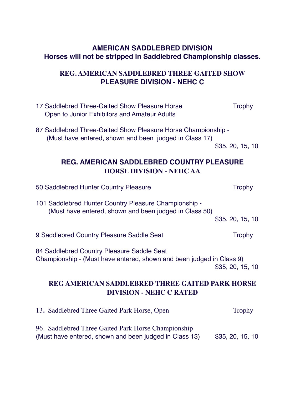## **AMERICAN SADDLEBRED DIVISION Horses will not be stripped in Saddlebred Championship classes.**

## **REG. AMERICAN SADDLEBRED THREE GAITED SHOW PLEASURE DIVISION - NEHC C**

| 17 Saddlebred Three-Gaited Show Pleasure Horse<br>Open to Junior Exhibitors and Amateur Adults                          | <b>Trophy</b>    |
|-------------------------------------------------------------------------------------------------------------------------|------------------|
| 87 Saddlebred Three-Gaited Show Pleasure Horse Championship -<br>(Must have entered, shown and been judged in Class 17) |                  |
|                                                                                                                         | \$35, 20, 15, 10 |
| <b>REG. AMERICAN SADDLEBRED COUNTRY PLEASURE</b><br><b>HORSE DIVISION - NEHC AA</b>                                     |                  |
| 50 Saddlebred Hunter Country Pleasure                                                                                   | <b>Trophy</b>    |
| 101 Saddlebred Hunter Country Pleasure Championship -<br>(Must have entered, shown and been judged in Class 50)         | \$35, 20, 15, 10 |
| 9 Saddlebred Country Pleasure Saddle Seat                                                                               | <b>Trophy</b>    |
| 84 Saddlebred Country Pleasure Saddle Seat<br>Championship - (Must have entered, shown and been judged in Class 9)      | \$35, 20, 15, 10 |
| REG AMERICAN SADDLEBRED THREE GAITED PARK HORSE<br><b>DIVISION - NEHC C RATED</b>                                       |                  |
| 13. Saddlebred Three Gaited Park Horse, Open                                                                            | <b>Trophy</b>    |
| 96. Saddlebred Three Gaited Park Horse Championship<br>(Must have entered, shown and been judged in Class 13)           | \$35, 20, 15, 10 |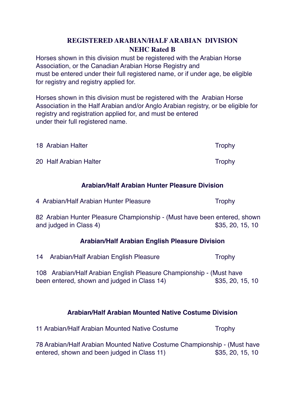## **REGISTERED ARABIAN/HALF ARABIAN DIVISION NEHC Rated B**

Horses shown in this division must be registered with the Arabian Horse Association, or the Canadian Arabian Horse Registry and must be entered under their full registered name, or if under age, be eligible for registry and registry applied for.

Horses shown in this division must be registered with the Arabian Horse Association in the Half Arabian and/or Anglo Arabian registry, or be eligible for registry and registration applied for, and must be entered under their full registered name.

| 18 Arabian Halter      | <b>Trophy</b> |
|------------------------|---------------|
| 20 Half Arabian Halter | <b>Trophy</b> |

## **Arabian/Half Arabian Hunter Pleasure Division**

| 4 Arabian/Half Arabian Hunter Pleasure | Trophy |
|----------------------------------------|--------|
|                                        |        |

82 Arabian Hunter Pleasure Championship - (Must have been entered, shown and judged in Class 4)  $$35, 20, 15, 10$ 

#### **Arabian/Half Arabian English Pleasure Division**

14 Arabian/Half Arabian English Pleasure Trophy

108 Arabian/Half Arabian English Pleasure Championship - (Must have been entered, shown and judged in Class 14) \$35, 20, 15, 10

## **Arabian/Half Arabian Mounted Native Costume Division**

11 Arabian/Half Arabian Mounted Native Costume Trophy

78 Arabian/Half Arabian Mounted Native Costume Championship - (Must have entered, shown and been judged in Class 11) \$35, 20, 15, 10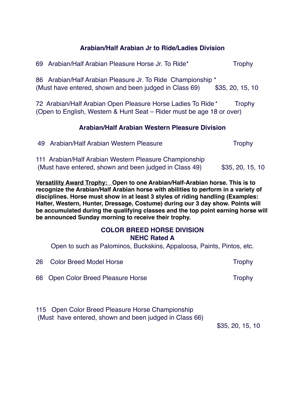## **Arabian/Half Arabian Jr to Ride/Ladies Division**

|                                                                                                                                                | 69 Arabian/Half Arabian Pleasure Horse Jr. To Ride*                                                                   | <b>Trophy</b>    |
|------------------------------------------------------------------------------------------------------------------------------------------------|-----------------------------------------------------------------------------------------------------------------------|------------------|
|                                                                                                                                                | 86 Arabian/Half Arabian Pleasure Jr. To Ride Championship *<br>(Must have entered, shown and been judged in Class 69) | \$35, 20, 15, 10 |
| 72 Arabian/Half Arabian Open Pleasure Horse Ladies To Ride*<br>Trophy<br>(Open to English, Western & Hunt Seat – Rider must be age 18 or over) |                                                                                                                       |                  |
| Arabian/Half Arabian Western Pleasure Division                                                                                                 |                                                                                                                       |                  |
| 49                                                                                                                                             | Arabian/Half Arabian Western Pleasure                                                                                 | <b>Trophy</b>    |
|                                                                                                                                                | 111 Arabian/Half Arabian Western Pleasure Championship<br>(Must have entered, shown and been judged in Class 49)      | \$35, 20, 15, 10 |

**Versatility Award Trophy: Open to one Arabian/Half-Arabian horse. This is to recognize the Arabian/Half Arabian horse with abilities to perform in a variety of disciplines. Horse must show in at least 3 styles of riding handling (Examples: Halter, Western, Hunter, Dressage, Costume) during our 3 day show. Points will be accumulated during the qualifying classes and the top point earning horse will be announced Sunday morning to receive their trophy.**

#### **COLOR BREED HORSE DIVISION NEHC Rated A**

Open to such as Palominos, Buckskins, Appaloosa, Paints, Pintos, etc.

| 26 Color Breed Model Horse         | Trophy |
|------------------------------------|--------|
| 66 Open Color Breed Pleasure Horse | Trophy |
|                                    |        |

115 Open Color Breed Pleasure Horse Championship (Must have entered, shown and been judged in Class 66)

\$35, 20, 15, 10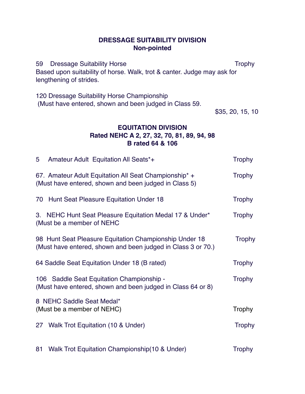#### **DRESSAGE SUITABILITY DIVISION Non-pointed**

59 Dressage Suitability Horse Trophy Based upon suitability of horse. Walk, trot & canter. Judge may ask for lengthening of strides.

120 Dressage Suitability Horse Championship (Must have entered, shown and been judged in Class 59.

\$35, 20, 15, 10

## **EQUITATION DIVISION Rated NEHC A 2, 27, 32, 70, 81, 89, 94, 98 B rated 64 & 106**

| 5  | Amateur Adult Equitation All Seats*+                                                                                   | <b>Trophy</b> |
|----|------------------------------------------------------------------------------------------------------------------------|---------------|
|    | 67. Amateur Adult Equitation All Seat Championship* +<br>(Must have entered, shown and been judged in Class 5)         | <b>Trophy</b> |
|    | 70 Hunt Seat Pleasure Equitation Under 18                                                                              | <b>Trophy</b> |
|    | 3. NEHC Hunt Seat Pleasure Equitation Medal 17 & Under*<br>(Must be a member of NEHC                                   | <b>Trophy</b> |
|    | 98 Hunt Seat Pleasure Equitation Championship Under 18<br>(Must have entered, shown and been judged in Class 3 or 70.) | <b>Trophy</b> |
|    | 64 Saddle Seat Equitation Under 18 (B rated)                                                                           | <b>Trophy</b> |
|    | 106 Saddle Seat Equitation Championship -<br>(Must have entered, shown and been judged in Class 64 or 8)               | <b>Trophy</b> |
|    | 8 NEHC Saddle Seat Medal*<br>(Must be a member of NEHC)                                                                | <b>Trophy</b> |
|    | 27 Walk Trot Equitation (10 & Under)                                                                                   | <b>Trophy</b> |
| 81 | Walk Trot Equitation Championship(10 & Under)                                                                          | <b>Trophy</b> |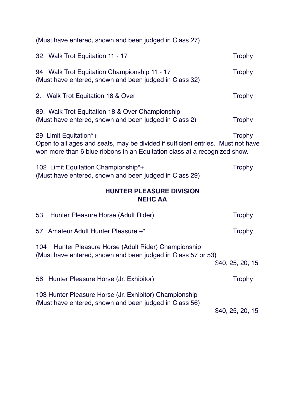| (Must have entered, shown and been judged in Class 27)                                                                                                                                |                  |
|---------------------------------------------------------------------------------------------------------------------------------------------------------------------------------------|------------------|
| 32 Walk Trot Equitation 11 - 17                                                                                                                                                       | <b>Trophy</b>    |
| 94 Walk Trot Equitation Championship 11 - 17<br>(Must have entered, shown and been judged in Class 32)                                                                                | <b>Trophy</b>    |
| 2. Walk Trot Equitation 18 & Over                                                                                                                                                     | <b>Trophy</b>    |
| 89. Walk Trot Equitation 18 & Over Championship<br>(Must have entered, shown and been judged in Class 2)                                                                              | <b>Trophy</b>    |
| 29 Limit Equitation*+<br>Open to all ages and seats, may be divided if sufficient entries. Must not have<br>won more than 6 blue ribbons in an Equitation class at a recognized show. | <b>Trophy</b>    |
| 102 Limit Equitation Championship*+<br>(Must have entered, shown and been judged in Class 29)                                                                                         | <b>Trophy</b>    |
| <b>HUNTER PLEASURE DIVISION</b><br><b>NEHC AA</b>                                                                                                                                     |                  |
| 53<br>Hunter Pleasure Horse (Adult Rider)                                                                                                                                             | <b>Trophy</b>    |
| Amateur Adult Hunter Pleasure +*<br>57                                                                                                                                                | <b>Trophy</b>    |
| Hunter Pleasure Horse (Adult Rider) Championship<br>104<br>(Must have entered, shown and been judged in Class 57 or 53)                                                               | \$40, 25, 20, 15 |
| Hunter Pleasure Horse (Jr. Exhibitor)<br>56                                                                                                                                           | <b>Trophy</b>    |
| 103 Hunter Pleasure Horse (Jr. Exhibitor) Championship<br>(Must have entered, shown and been judged in Class 56)                                                                      | \$40, 25, 20, 15 |
|                                                                                                                                                                                       |                  |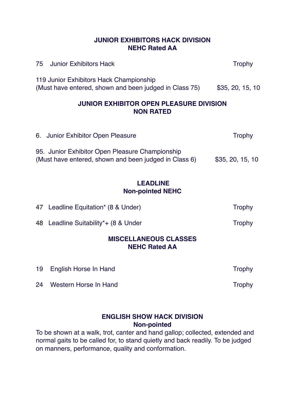#### **JUNIOR EXHIBITORS HACK DIVISION NEHC Rated AA**

| 75<br><b>Junior Exhibitors Hack</b>                                                                      | <b>Trophy</b>    |
|----------------------------------------------------------------------------------------------------------|------------------|
| 119 Junior Exhibitors Hack Championship<br>(Must have entered, shown and been judged in Class 75)        | \$35, 20, 15, 10 |
| <b>JUNIOR EXHIBITOR OPEN PLEASURE DIVISION</b><br><b>NON RATED</b>                                       |                  |
| 6. Junior Exhibitor Open Pleasure                                                                        | <b>Trophy</b>    |
| 95. Junior Exhibitor Open Pleasure Championship<br>(Must have entered, shown and been judged in Class 6) | \$35, 20, 15, 10 |
| <b>LEADLINE</b><br><b>Non-pointed NEHC</b>                                                               |                  |
| 47 Leadline Equitation* (8 & Under)                                                                      | <b>Trophy</b>    |
| Leadline Suitability*+ (8 & Under<br>48                                                                  | <b>Trophy</b>    |

#### **MISCELLANEOUS CLASSES NEHC Rated AA**

| 19 English Horse In Hand | <b>Trophy</b> |
|--------------------------|---------------|
|                          |               |

#### 24 Western Horse In Hand Trophy

#### **ENGLISH SHOW HACK DIVISION Non-pointed**

To be shown at a walk, trot, canter and hand gallop; collected, extended and normal gaits to be called for, to stand quietly and back readily. To be judged on manners, performance, quality and conformation.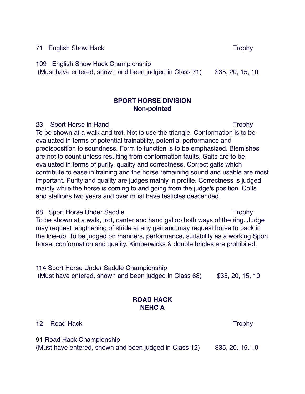71 English Show Hack Trophy

109 English Show Hack Championship

(Must have entered, shown and been judged in Class  $71$ ) \$35, 20, 15, 10

## **SPORT HORSE DIVISION Non-pointed**

23 Sport Horse in Hand Trophy

To be shown at a walk and trot. Not to use the triangle. Conformation is to be evaluated in terms of potential trainability, potential performance and predisposition to soundness. Form to function is to be emphasized. Blemishes are not to count unless resulting from conformation faults. Gaits are to be evaluated in terms of purity, quality and correctness. Correct gaits which contribute to ease in training and the horse remaining sound and usable are most important. Purity and quality are judges mainly in profile. Correctness is judged mainly while the horse is coming to and going from the judge's position. Colts and stallions two years and over must have testicles descended.

68 Sport Horse Under Saddle Trophy To be shown at a walk, trot, canter and hand gallop both ways of the ring. Judge may request lengthening of stride at any gait and may request horse to back in the line-up. To be judged on manners, performance, suitability as a working Sport horse, conformation and quality. Kimberwicks & double bridles are prohibited.

114 Sport Horse Under Saddle Championship (Must have entered, shown and been judged in Class  $68$ )  $$35, 20, 15, 10$ 

## **ROAD HACK NEHC A**

12 Road Hack Trophy

91 Road Hack Championship (Must have entered, shown and been judged in Class  $12$ ) \$35, 20, 15, 10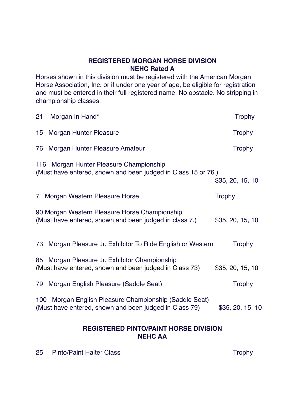#### **REGISTERED MORGAN HORSE DIVISION NEHC Rated A**

Horses shown in this division must be registered with the American Morgan Horse Association, Inc. or if under one year of age, be eligible for registration and must be entered in their full registered name. No obstacle. No stripping in championship classes.

| Morgan In Hand*<br>21                                                                                               | <b>Trophy</b>    |
|---------------------------------------------------------------------------------------------------------------------|------------------|
| <b>Morgan Hunter Pleasure</b><br>15                                                                                 | <b>Trophy</b>    |
| Morgan Hunter Pleasure Amateur<br>76                                                                                | <b>Trophy</b>    |
| 116 Morgan Hunter Pleasure Championship<br>(Must have entered, shown and been judged in Class 15 or 76.)            | \$35, 20, 15, 10 |
| 7 Morgan Western Pleasure Horse                                                                                     | <b>Trophy</b>    |
| 90 Morgan Western Pleasure Horse Championship<br>(Must have entered, shown and been judged in class 7.)             | \$35, 20, 15, 10 |
| Morgan Pleasure Jr. Exhibitor To Ride English or Western<br>73                                                      | <b>Trophy</b>    |
| Morgan Pleasure Jr. Exhibitor Championship<br>85<br>(Must have entered, shown and been judged in Class 73)          | \$35, 20, 15, 10 |
| Morgan English Pleasure (Saddle Seat)<br>79                                                                         | <b>Trophy</b>    |
| Morgan English Pleasure Championship (Saddle Seat)<br>100<br>(Must have entered, shown and been judged in Class 79) | \$35, 20, 15, 10 |

#### **REGISTERED PINTO/PAINT HORSE DIVISION NEHC AA**

25 Pinto/Paint Halter Class Trophy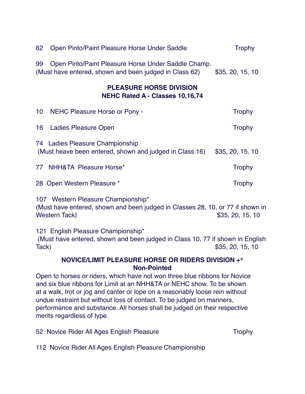| 62              | Open Pinto/Paint Pleasure Horse Under Saddle                                                                                                 | <b>Trophy</b>    |
|-----------------|----------------------------------------------------------------------------------------------------------------------------------------------|------------------|
| 99              | Open Pinto/Paint Pleasure Horse Under Saddle Champ.<br>(Must have entered, shown and been judged in Class 62)                                | \$35, 20, 15, 10 |
|                 | <b>PLEASURE HORSE DIVISION</b><br><b>NEHC Rated A - Classes 10,16,74</b>                                                                     |                  |
| 10 <sup>°</sup> | NEHC Pleasure Horse or Pony -                                                                                                                | <b>Trophy</b>    |
| 16              | Ladies Pleasure Open                                                                                                                         | <b>Trophy</b>    |
|                 | 74 Ladies Pleasure Championship<br>(Must heave been entered, shown and judged in Class 16)                                                   | \$35, 20, 15, 10 |
| 77              | <b>NHH&amp;TA Pleasure Horse*</b>                                                                                                            | <b>Trophy</b>    |
|                 | 28 Open Western Pleasure *                                                                                                                   | <b>Trophy</b>    |
|                 | 107 Western Pleasure Championship*<br>(Must have entered, shown and been judged in Classes 28, 10, or 77 if shown in<br><b>Western Tack)</b> | \$35, 20, 15, 10 |
|                 | 121 English Pleasure Championship*<br>(Must have entered, shown and been judged in Class 10, 77 if shown in English                          |                  |

Tack)  $35, 20, 15, 10$ 

## **NOVICE/LIMIT PLEASURE HORSE OR RIDERS DIVISION +\* Non-Pointed**

Open to horses or riders, which have not won three blue ribbons for Novice and six blue ribbons for Limit at an NHH&TA or NEHC show. To be shown at a walk, trot or jog and canter or lope on a reasonably loose rein without undue restraint but without loss of contact. To be judged on manners, performance and substance. All horses shall be judged on their respective merits regardless of type.

52 Novice Rider All Ages English Pleasure Trophy

112 Novice Rider All Ages English Pleasure Championship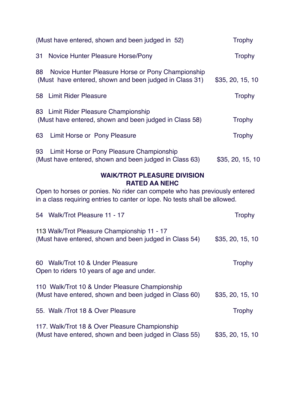| (Must have entered, shown and been judged in 52)                                                                  | <b>Trophy</b>    |
|-------------------------------------------------------------------------------------------------------------------|------------------|
| 31<br>Novice Hunter Pleasure Horse/Pony                                                                           | <b>Trophy</b>    |
| 88<br>Novice Hunter Pleasure Horse or Pony Championship<br>(Must have entered, shown and been judged in Class 31) | \$35, 20, 15, 10 |
| <b>Limit Rider Pleasure</b><br>58                                                                                 | <b>Trophy</b>    |
| 83 Limit Rider Pleasure Championship<br>(Must have entered, shown and been judged in Class 58)                    | <b>Trophy</b>    |
| 63<br>Limit Horse or Pony Pleasure                                                                                | <b>Trophy</b>    |
| 93<br>Limit Horse or Pony Pleasure Championship<br>(Must have entered, shown and been judged in Class 63)         | \$35, 20, 15, 10 |

#### **WAlK/TROT PLEASURE DIVISION RATED AA NEHC**

Open to horses or ponies. No rider can compete who has previously entered in a class requiring entries to canter or lope. No tests shall be allowed.

| 54 Walk/Trot Pleasure 11 - 17                                                                            | <b>Trophy</b>    |
|----------------------------------------------------------------------------------------------------------|------------------|
| 113 Walk/Trot Pleasure Championship 11 - 17<br>(Must have entered, shown and been judged in Class 54)    | \$35, 20, 15, 10 |
| 60 Walk/Trot 10 & Under Pleasure<br>Open to riders 10 years of age and under.                            | <b>Trophy</b>    |
| 110 Walk/Trot 10 & Under Pleasure Championship<br>(Must have entered, shown and been judged in Class 60) | \$35, 20, 15, 10 |
| 55. Walk / Trot 18 & Over Pleasure                                                                       | <b>Trophy</b>    |
| 117. Walk/Trot 18 & Over Pleasure Championship<br>(Must have entered, shown and been judged in Class 55) | \$35, 20, 15, 10 |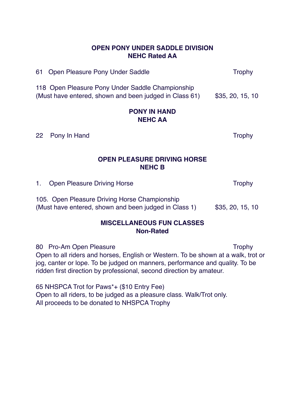#### **OPEN PONY UNDER SADDLE DIVISION NEHC Rated AA**

61 Open Pleasure Pony Under Saddle Trophy

118 Open Pleasure Pony Under Saddle Championship (Must have entered, shown and been judged in Class  $61$ ) \$35, 20, 15, 10

#### **PONY IN HAND NEHC AA**

22 Pony In Hand Trophy

## **OPEN PLEASURE DRIVING HORSE NEHC B**

1. Open Pleasure Driving Horse Trophy

105. Open Pleasure Driving Horse Championship (Must have entered, shown and been judged in Class  $1$ )  $$35, 20, 15, 10$ 

#### **MISCELLANEOUS FUN CLASSES Non-Rated**

80 Pro-Am Open Pleasure Trophy Open to all riders and horses, English or Western. To be shown at a walk, trot or jog, canter or lope. To be judged on manners, performance and quality. To be ridden first direction by professional, second direction by amateur.

65 NHSPCA Trot for Paws\*+ (\$10 Entry Fee) Open to all riders, to be judged as a pleasure class. Walk/Trot only. All proceeds to be donated to NHSPCA Trophy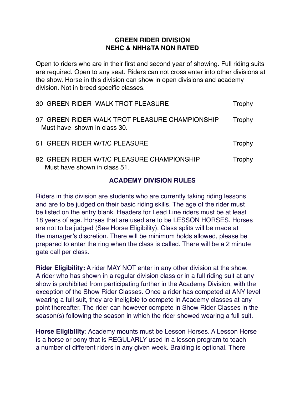#### **GREEN RIDER DIVISION NEHC & NHH&TA NON RATED**

Open to riders who are in their first and second year of showing. Full riding suits are required. Open to any seat. Riders can not cross enter into other divisions at the show. Horse in this division can show in open divisions and academy division. Not in breed specific classes.

| 30 GREEN RIDER WALK TROT PLEASURE                                              | Trophy |
|--------------------------------------------------------------------------------|--------|
| 97 GREEN RIDER WALK TROT PLEASURE CHAMPIONSHIP<br>Must have shown in class 30. | Trophy |
| 51 GREEN RIDER W/T/C PLEASURE                                                  | Trophy |
| 92 GREEN RIDER W/T/C PLEASURE CHAMPIONSHIP<br>Must have shown in class 51.     | Trophy |

#### **ACADEMY DIVISION RULES**

Riders in this division are students who are currently taking riding lessons and are to be judged on their basic riding skills. The age of the rider must be listed on the entry blank. Headers for Lead Line riders must be at least 18 years of age. Horses that are used are to be LESSON HORSES. Horses are not to be judged (See Horse Eligibility). Class splits will be made at the manager's discretion. There will be minimum holds allowed, please be prepared to enter the ring when the class is called. There will be a 2 minute gate call per class.

**Rider Eligibility:** A rider MAY NOT enter in any other division at the show. A rider who has shown in a regular division class or in a full riding suit at any show is prohibited from participating further in the Academy Division, with the exception of the Show Rider Classes. Once a rider has competed at ANY level wearing a full suit, they are ineligible to compete in Academy classes at any point thereafter. The rider can however compete in Show Rider Classes in the season(s) following the season in which the rider showed wearing a full suit.

**Horse Eligibility**: Academy mounts must be Lesson Horses. A Lesson Horse is a horse or pony that is REGULARLY used in a lesson program to teach a number of different riders in any given week. Braiding is optional. There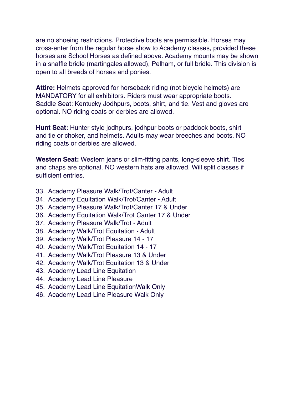are no shoeing restrictions. Protective boots are permissible. Horses may cross-enter from the regular horse show to Academy classes, provided these horses are School Horses as defined above. Academy mounts may be shown in a snaffle bridle (martingales allowed), Pelham, or full bridle. This division is open to all breeds of horses and ponies.

**Attire:** Helmets approved for horseback riding (not bicycle helmets) are MANDATORY for all exhibitors. Riders must wear appropriate boots. Saddle Seat: Kentucky Jodhpurs, boots, shirt, and tie. Vest and gloves are optional. NO riding coats or derbies are allowed.

**Hunt Seat:** Hunter style jodhpurs, jodhpur boots or paddock boots, shirt and tie or choker, and helmets. Adults may wear breeches and boots. NO riding coats or derbies are allowed.

**Western Seat:** Western jeans or slim-fitting pants, long-sleeve shirt. Ties and chaps are optional. NO western hats are allowed. Will split classes if sufficient entries.

- 33. Academy Pleasure Walk/Trot/Canter Adult
- 34. Academy Equitation Walk/Trot/Canter Adult
- 35. Academy Pleasure Walk/Trot/Canter 17 & Under
- 36. Academy Equitation Walk/Trot Canter 17 & Under
- 37. Academy Pleasure Walk/Trot Adult
- 38. Academy Walk/Trot Equitation Adult
- 39. Academy Walk/Trot Pleasure 14 17
- 40. Academy Walk/Trot Equitation 14 17
- 41. Academy Walk/Trot Pleasure 13 & Under
- 42. Academy Walk/Trot Equitation 13 & Under
- 43. Academy Lead Line Equitation
- 44. Academy Lead Line Pleasure
- 45. Academy Lead Line EquitationWalk Only
- 46. Academy Lead Line Pleasure Walk Only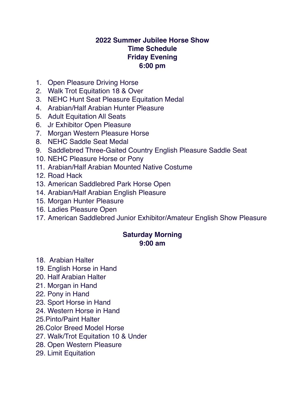## **2022 Summer Jubilee Horse Show Time Schedule Friday Evening 6:00 pm**

- 1. Open Pleasure Driving Horse
- 2. Walk Trot Equitation 18 & Over
- 3. NEHC Hunt Seat Pleasure Equitation Medal
- 4. Arabian/Half Arabian Hunter Pleasure
- 5. Adult Equitation All Seats
- 6. Jr Exhibitor Open Pleasure
- 7. Morgan Western Pleasure Horse
- 8. NEHC Saddle Seat Medal
- 9. Saddlebred Three-Gaited Country English Pleasure Saddle Seat
- 10. NEHC Pleasure Horse or Pony
- 11. Arabian/Half Arabian Mounted Native Costume
- 12. Road Hack
- 13. American Saddlebred Park Horse Open
- 14. Arabian/Half Arabian English Pleasure
- 15. Morgan Hunter Pleasure
- 16. Ladies Pleasure Open
- 17. American Saddlebred Junior Exhibitor/Amateur English Show Pleasure

## **Saturday Morning 9:00 am**

- 18. Arabian Halter
- 19. English Horse in Hand
- 20. Half Arabian Halter
- 21. Morgan in Hand
- 22. Pony in Hand
- 23. Sport Horse in Hand
- 24. Western Horse in Hand
- 25.Pinto/Paint Halter
- 26.Color Breed Model Horse
- 27. Walk/Trot Equitation 10 & Under
- 28. Open Western Pleasure
- 29. Limit Equitation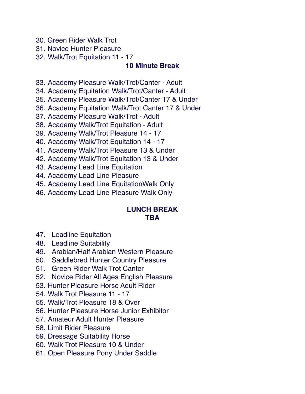- 30. Green Rider Walk Trot
- 31. Novice Hunter Pleasure
- 32. Walk/Trot Equitation 11 17

## **10 Minute Break**

- 33. Academy Pleasure Walk/Trot/Canter Adult
- 34. Academy Equitation Walk/Trot/Canter Adult
- 35. Academy Pleasure Walk/Trot/Canter 17 & Under
- 36. Academy Equitation Walk/Trot Canter 17 & Under
- 37. Academy Pleasure Walk/Trot Adult
- 38. Academy Walk/Trot Equitation Adult
- 39. Academy Walk/Trot Pleasure 14 17
- 40. Academy Walk/Trot Equitation 14 17
- 41. Academy Walk/Trot Pleasure 13 & Under
- 42. Academy Walk/Trot Equitation 13 & Under
- 43. Academy Lead Line Equitation
- 44. Academy Lead Line Pleasure
- 45. Academy Lead Line EquitationWalk Only
- 46. Academy Lead Line Pleasure Walk Only

## **LUNCH BREAK TBA**

- 47. Leadline Equitation
- 48. Leadline Suitability
- 49. Arabian/Half Arabian Western Pleasure
- 50. Saddlebred Hunter Country Pleasure
- 51. Green Rider Walk Trot Canter
- 52. Novice Rider All Ages English Pleasure
- 53. Hunter Pleasure Horse Adult Rider
- 54. Walk Trot Pleasure 11 17
- 55. Walk/Trot Pleasure 18 & Over
- 56. Hunter Pleasure Horse Junior Exhibitor
- 57. Amateur Adult Hunter Pleasure
- 58. Limit Rider Pleasure
- 59. Dressage Suitability Horse
- 60. Walk Trot Pleasure 10 & Under
- 61. Open Pleasure Pony Under Saddle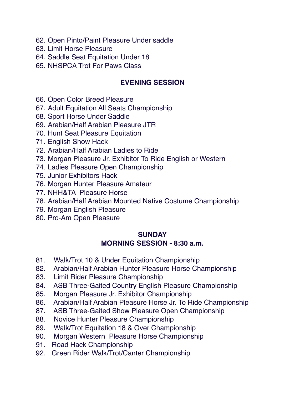- 62. Open Pinto/Paint Pleasure Under saddle
- 63. Limit Horse Pleasure
- 64. Saddle Seat Equitation Under 18
- 65. NHSPCA Trot For Paws Class

## **EVENING SESSION**

- 66. Open Color Breed Pleasure
- 67. Adult Equitation All Seats Championship
- 68. Sport Horse Under Saddle
- 69. Arabian/Half Arabian Pleasure JTR
- 70. Hunt Seat Pleasure Equitation
- 71. English Show Hack
- 72. Arabian/Half Arabian Ladies to Ride
- 73. Morgan Pleasure Jr. Exhibitor To Ride English or Western
- 74. Ladies Pleasure Open Championship
- 75. Junior Exhibitors Hack
- 76. Morgan Hunter Pleasure Amateur
- 77. NHH&TA Pleasure Horse
- 78. Arabian/Half Arabian Mounted Native Costume Championship
- 79. Morgan English Pleasure
- 80. Pro-Am Open Pleasure

## **SUNDAY MORNING SESSION - 8:30 a.m.**

- 81. Walk/Trot 10 & Under Equitation Championship
- 82. Arabian/Half Arabian Hunter Pleasure Horse Championship
- 83. Limit Rider Pleasure Championship
- 84. ASB Three-Gaited Country English Pleasure Championship
- 85. Morgan Pleasure Jr. Exhibitor Championship
- 86. Arabian/Half Arabian Pleasure Horse Jr. To Ride Championship
- 87. ASB Three-Gaited Show Pleasure Open Championship
- 88. Novice Hunter Pleasure Championship
- 89. Walk/Trot Equitation 18 & Over Championship
- 90. Morgan Western Pleasure Horse Championship
- 91. Road Hack Championship
- 92. Green Rider Walk/Trot/Canter Championship